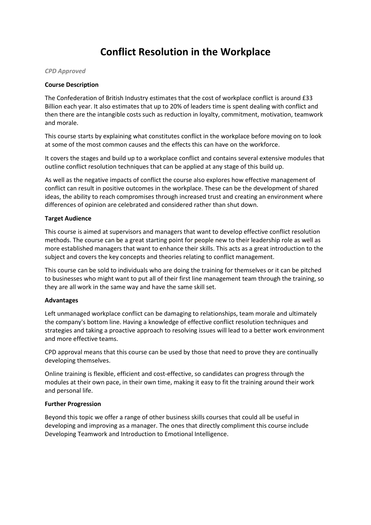# **Conflict Resolution in the Workplace**

*CPD Approved*

#### **Course Description**

The Confederation of British Industry estimates that the cost of workplace conflict is around £33 Billion each year. It also estimates that up to 20% of leaders time is spent dealing with conflict and then there are the intangible costs such as reduction in loyalty, commitment, motivation, teamwork and morale.

This course starts by explaining what constitutes conflict in the workplace before moving on to look at some of the most common causes and the effects this can have on the workforce.

It covers the stages and build up to a workplace conflict and contains several extensive modules that outline conflict resolution techniques that can be applied at any stage of this build up.

As well as the negative impacts of conflict the course also explores how effective management of conflict can result in positive outcomes in the workplace. These can be the development of shared ideas, the ability to reach compromises through increased trust and creating an environment where differences of opinion are celebrated and considered rather than shut down.

### **Target Audience**

This course is aimed at supervisors and managers that want to develop effective conflict resolution methods. The course can be a great starting point for people new to their leadership role as well as more established managers that want to enhance their skills. This acts as a great introduction to the subject and covers the key concepts and theories relating to conflict management.

This course can be sold to individuals who are doing the training for themselves or it can be pitched to businesses who might want to put all of their first line management team through the training, so they are all work in the same way and have the same skill set.

### **Advantages**

Left unmanaged workplace conflict can be damaging to relationships, team morale and ultimately the company's bottom line. Having a knowledge of effective conflict resolution techniques and strategies and taking a proactive approach to resolving issues will lead to a better work environment and more effective teams.

CPD approval means that this course can be used by those that need to prove they are continually developing themselves.

Online training is flexible, efficient and cost-effective, so candidates can progress through the modules at their own pace, in their own time, making it easy to fit the training around their work and personal life.

### **Further Progression**

Beyond this topic we offer a range of other business skills courses that could all be useful in developing and improving as a manager. The ones that directly compliment this course include Developing Teamwork and Introduction to Emotional Intelligence.